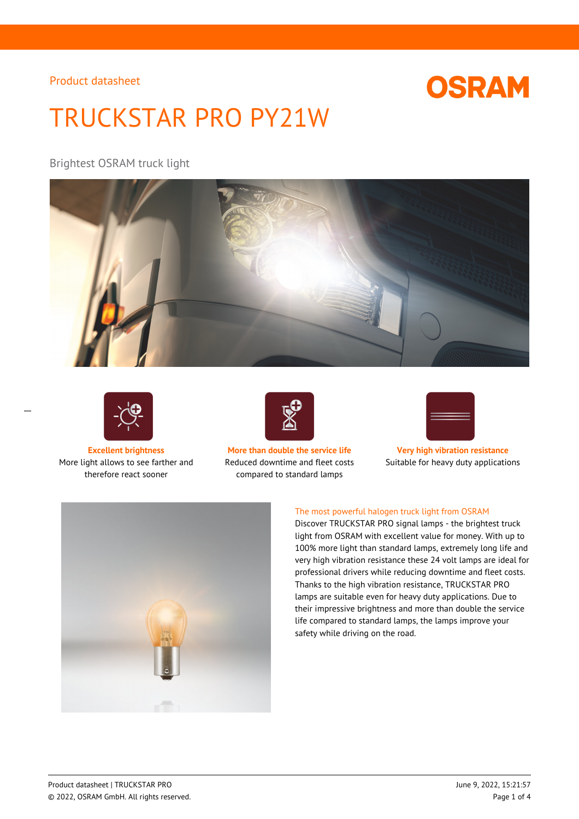# **OSRAM**

# TRUCKSTAR PRO PY21W

Brightest OSRAM truck light





 $\overline{a}$ 

More light allows to see farther and therefore react sooner



**Excellent brightness More than double the service life Very high vibration resistance** Reduced downtime and fleet costs compared to standard lamps



Suitable for heavy duty applications



### The most powerful halogen truck light from OSRAM

Discover TRUCKSTAR PRO signal lamps - the brightest truck light from OSRAM with excellent value for money. With up to 100% more light than standard lamps, extremely long life and very high vibration resistance these 24 volt lamps are ideal for professional drivers while reducing downtime and fleet costs. Thanks to the high vibration resistance, TRUCKSTAR PRO lamps are suitable even for heavy duty applications. Due to their impressive brightness and more than double the service life compared to standard lamps, the lamps improve your safety while driving on the road.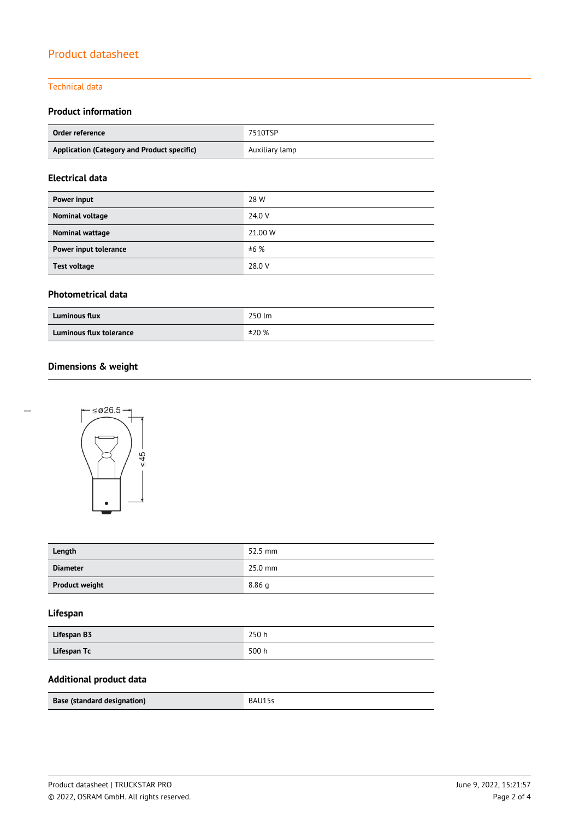#### Technical data

## **Product information**

| Order reference                             | 7510TSP        |
|---------------------------------------------|----------------|
| Application (Category and Product specific) | Auxiliary lamp |

## **Electrical data**

| Power input           | 28 W    |
|-----------------------|---------|
| Nominal voltage       | 24.0 V  |
| Nominal wattage       | 21.00 W |
| Power input tolerance | ±6%     |
| <b>Test voltage</b>   | 28.0 V  |

#### **Photometrical data**

| <b>Luminous flux</b>    | 250 lm |
|-------------------------|--------|
| Luminous flux tolerance | ±20%   |

# **Dimensions & weight**



| Length                | 52.5 mm   |
|-----------------------|-----------|
| <b>Diameter</b>       | $25.0$ mm |
| <b>Product weight</b> | 8.86q     |

## **Lifespan**

| Lifespan B3 | 250h  |
|-------------|-------|
| Lifespan Tc | 500 h |

# **Additional product data**

| <b>Base (standard designation)</b> | RAI |
|------------------------------------|-----|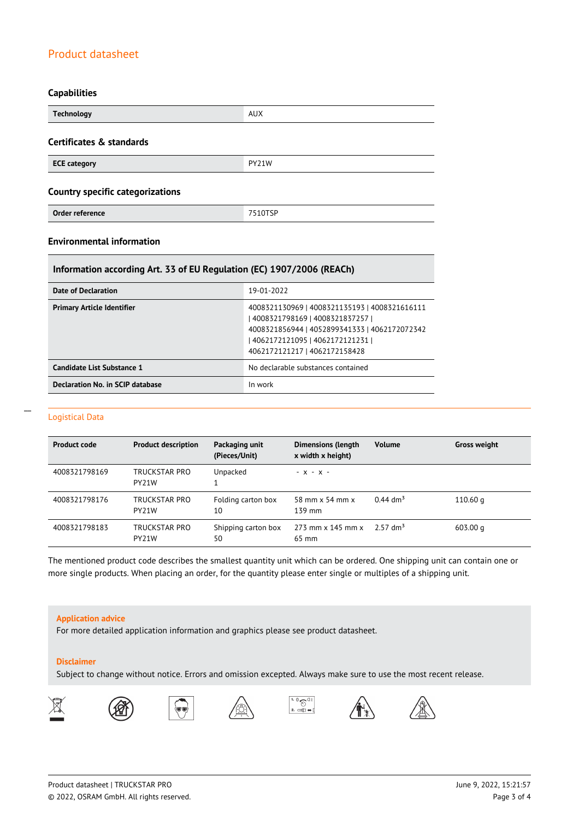#### **Capabilities**

| <b>Technology</b>                       | <b>AUX</b> |  |  |
|-----------------------------------------|------------|--|--|
| Certificates & standards                |            |  |  |
| <b>ECE category</b>                     | PY21W      |  |  |
| <b>Country specific categorizations</b> |            |  |  |
| Order reference                         | 7510TSP    |  |  |

### **Environmental information**

#### **Information according Art. 33 of EU Regulation (EC) 1907/2006 (REACh)**

| Date of Declaration               | 19-01-2022                                                                                                                                                                                              |
|-----------------------------------|---------------------------------------------------------------------------------------------------------------------------------------------------------------------------------------------------------|
| <b>Primary Article Identifier</b> | 4008321130969   4008321135193   4008321616111<br>4008321798169   4008321837257  <br>4008321856944   4052899341333   4062172072342<br>  4062172121095   4062172121231  <br>4062172121217   4062172158428 |
| Candidate List Substance 1        | No declarable substances contained                                                                                                                                                                      |
| Declaration No. in SCIP database  | In work                                                                                                                                                                                                 |

#### Logistical Data

 $\overline{a}$ 

| <b>Product code</b> | <b>Product description</b>          | Packaging unit<br>(Pieces/Unit) | <b>Dimensions (length</b><br>x width x height) | <b>Volume</b>          | <b>Gross weight</b> |
|---------------------|-------------------------------------|---------------------------------|------------------------------------------------|------------------------|---------------------|
| 4008321798169       | TRUCKSTAR PRO<br>PY <sub>21</sub> W | Unpacked                        | $- x - x -$                                    |                        |                     |
| 4008321798176       | TRUCKSTAR PRO<br>PY21W              | Folding carton box<br>10        | 58 mm x 54 mm x<br>139 mm                      | $0.44$ dm <sup>3</sup> | 110.60 <sub>q</sub> |
| 4008321798183       | TRUCKSTAR PRO<br>PY21W              | Shipping carton box<br>50       | $273$ mm x 145 mm x<br>65 mm                   | $2.57 \text{ dm}^3$    | $603.00 \text{ g}$  |

The mentioned product code describes the smallest quantity unit which can be ordered. One shipping unit can contain one or more single products. When placing an order, for the quantity please enter single or multiples of a shipping unit.

#### **Application advice**

For more detailed application information and graphics please see product datasheet.

#### **Disclaimer**

Subject to change without notice. Errors and omission excepted. Always make sure to use the most recent release.